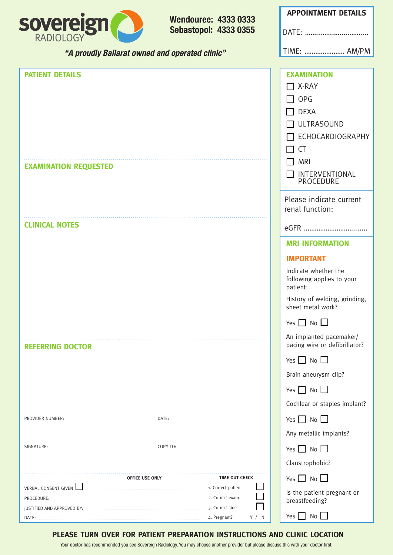

**Wendouree: 4333 0333 Sebastopol: 4333 0355**

| <b>APPOINTMENT DETAILS</b> |
|----------------------------|
| DATF:                      |
| TIME:  AM/PM               |
|                            |

1 F

| $\Box$ OPG<br><b>DEXA</b><br>$\Box$ ULTRASOUND<br>ECHOCARDIOGRAPHY<br><b>CT</b><br>$\Box$                                          |
|------------------------------------------------------------------------------------------------------------------------------------|
| MRI<br><b>EXAMINATION REQUESTED</b><br>INTERVENTIONAL<br>$\Box$<br>PROCEDURE                                                       |
| Please indicate current<br>renal function:                                                                                         |
| <b>CLINICAL NOTES</b>                                                                                                              |
| <b>MRI INFORMATION</b>                                                                                                             |
| <b>IMPORTANT</b>                                                                                                                   |
| Indicate whether the<br>following applies to your<br>patient:                                                                      |
| History of welding, grinding,<br>sheet metal work?                                                                                 |
| Yes $\Box$ No $\Box$                                                                                                               |
| An implanted pacemaker/<br>pacing wire or defibrillator?<br><b>REFERRING DOCTOR</b>                                                |
| Yes $\Box$ No $\Box$                                                                                                               |
| Brain aneurysm clip?                                                                                                               |
| Yes $\Box$ No $\Box$                                                                                                               |
| Cochlear or staples implant?                                                                                                       |
| Yes $\Box$ No $\Box$<br>DATE:<br>PROVIDER NUMBER:                                                                                  |
| Any metallic implants?                                                                                                             |
| SIGNATURE:<br>COPY TO:<br>Yes $\Box$ No $\Box$                                                                                     |
| Claustrophobic?                                                                                                                    |
| Yes $\Box$ No $\Box$<br>TIME OUT CHECK<br>OFFICE USE ONLY                                                                          |
| <b>VERBAL CONSENT GIVEN</b><br>1. Correct patient<br>Is the patient pregnant or<br>2. Correct exam<br>PROCEDURE:<br>breastfeeding? |
| 3. Correct side<br>No<br>Yes  <br>4. Pregnant?<br>Y / N<br>DATE:                                                                   |

#### **PLEASE TURN OVER FOR PATIENT PREPARATION INSTRUCTIONS AND CLINIC LOCATION**

Your doctor has recommended you see Sovereign Radiology. You may choose another provider but please discuss this with your doctor first.